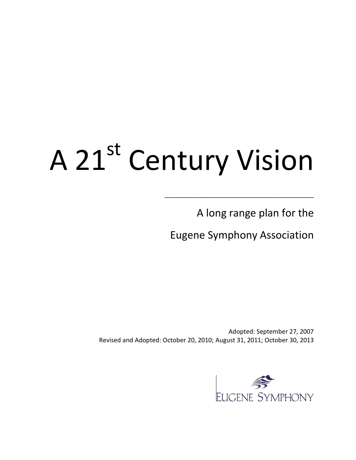# A 21st Century Vision

A long range plan for the

Eugene Symphony Association

\_\_\_\_\_\_\_\_\_\_\_\_\_\_\_\_\_\_\_\_\_\_\_\_\_\_\_\_\_\_\_\_\_\_\_\_\_\_\_\_\_\_\_

Adopted: September 27, 2007 Revised and Adopted: October 20, 2010; August 31, 2011; October 30, 2013

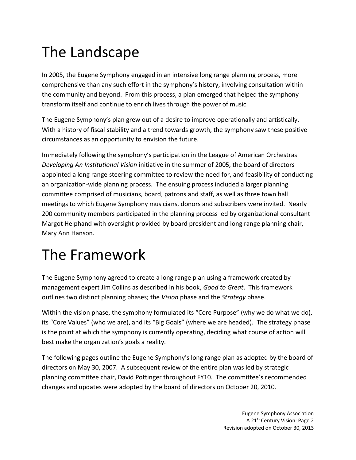# The Landscape

In 2005, the Eugene Symphony engaged in an intensive long range planning process, more comprehensive than any such effort in the symphony's history, involving consultation within the community and beyond. From this process, a plan emerged that helped the symphony transform itself and continue to enrich lives through the power of music.

The Eugene Symphony's plan grew out of a desire to improve operationally and artistically. With a history of fiscal stability and a trend towards growth, the symphony saw these positive circumstances as an opportunity to envision the future.

Immediately following the symphony's participation in the League of American Orchestras *Developing An Institutional Vision* initiative in the summer of 2005, the board of directors appointed a long range steering committee to review the need for, and feasibility of conducting an organization-wide planning process. The ensuing process included a larger planning committee comprised of musicians, board, patrons and staff, as well as three town hall meetings to which Eugene Symphony musicians, donors and subscribers were invited. Nearly 200 community members participated in the planning process led by organizational consultant Margot Helphand with oversight provided by board president and long range planning chair, Mary Ann Hanson.

# The Framework

The Eugene Symphony agreed to create a long range plan using a framework created by management expert Jim Collins as described in his book, *Good to Great*. This framework outlines two distinct planning phases; the *Vision* phase and the *Strategy* phase.

Within the vision phase, the symphony formulated its "Core Purpose" (why we do what we do), its "Core Values" (who we are), and its "Big Goals" (where we are headed). The strategy phase is the point at which the symphony is currently operating, deciding what course of action will best make the organization's goals a reality.

The following pages outline the Eugene Symphony's long range plan as adopted by the board of directors on May 30, 2007. A subsequent review of the entire plan was led by strategic planning committee chair, David Pottinger throughout FY10. The committee's recommended changes and updates were adopted by the board of directors on October 20, 2010.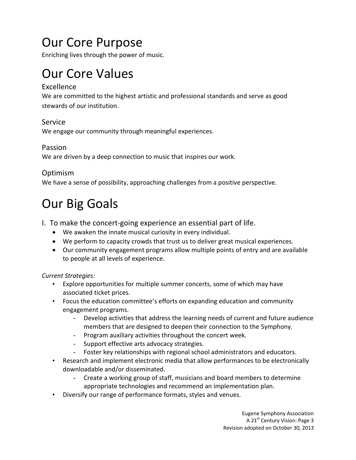### Our Core Purpose

Enriching lives through the power of music.

## Our Core Values

#### Excellence

We are committed to the highest artistic and professional standards and serve as good stewards of our institution.

#### Service

We engage our community through meaningful experiences.

#### Passion

We are driven by a deep connection to music that inspires our work.

#### Optimism

We have a sense of possibility, approaching challenges from a positive perspective.

## Our Big Goals

- I. To make the concert-going experience an essential part of life.
	- We awaken the innate musical curiosity in every individual.
	- We perform to capacity crowds that trust us to deliver great musical experiences.
	- Our community engagement programs allow multiple points of entry and are available to people at all levels of experience.

#### *Current Strategies:*

- Explore opportunities for multiple summer concerts, some of which may have associated ticket prices.
- Focus the education committee's efforts on expanding education and community engagement programs.
	- Develop activities that address the learning needs of current and future audience members that are designed to deepen their connection to the Symphony.
	- Program auxiliary activities throughout the concert week.
	- Support effective arts advocacy strategies.
	- Foster key relationships with regional school administrators and educators.
- Research and implement electronic media that allow performances to be electronically downloadable and/or disseminated.
	- Create a working group of staff, musicians and board members to determine appropriate technologies and recommend an implementation plan.
- Diversify our range of performance formats, styles and venues.